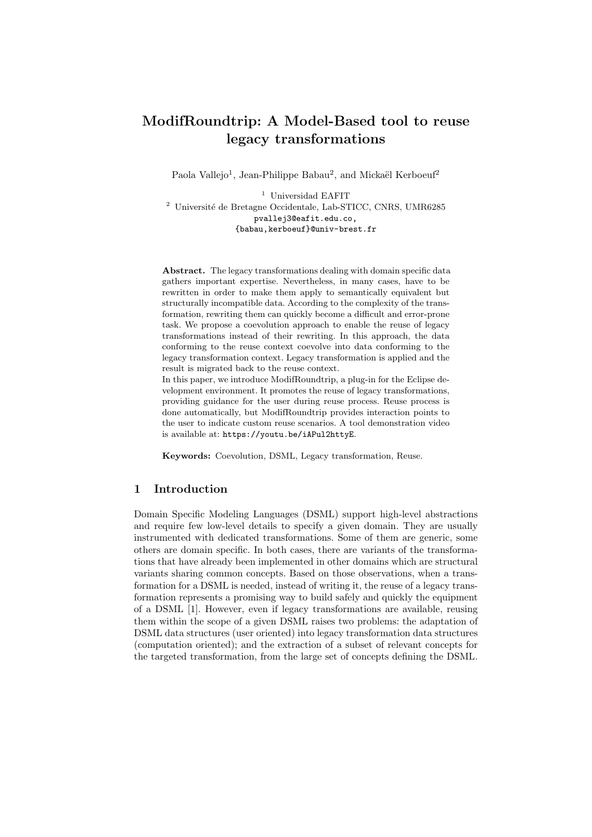# ModifRoundtrip: A Model-Based tool to reuse legacy transformations

Paola Vallejo<sup>1</sup>, Jean-Philippe Babau<sup>2</sup>, and Mickaël Kerboeuf<sup>2</sup>

<sup>1</sup> Universidad EAFIT  $^2$ Université de Bretagne Occidentale, Lab-STICC, CNRS, UMR6285 pvallej3@eafit.edu.co, {babau,kerboeuf}@univ-brest.fr

Abstract. The legacy transformations dealing with domain specific data gathers important expertise. Nevertheless, in many cases, have to be rewritten in order to make them apply to semantically equivalent but structurally incompatible data. According to the complexity of the transformation, rewriting them can quickly become a difficult and error-prone task. We propose a coevolution approach to enable the reuse of legacy transformations instead of their rewriting. In this approach, the data conforming to the reuse context coevolve into data conforming to the legacy transformation context. Legacy transformation is applied and the result is migrated back to the reuse context.

In this paper, we introduce ModifRoundtrip, a plug-in for the Eclipse development environment. It promotes the reuse of legacy transformations, providing guidance for the user during reuse process. Reuse process is done automatically, but ModifRoundtrip provides interaction points to the user to indicate custom reuse scenarios. A tool demonstration video is available at: https://youtu.be/iAPul2httyE.

Keywords: Coevolution, DSML, Legacy transformation, Reuse.

# 1 Introduction

Domain Specific Modeling Languages (DSML) support high-level abstractions and require few low-level details to specify a given domain. They are usually instrumented with dedicated transformations. Some of them are generic, some others are domain specific. In both cases, there are variants of the transformations that have already been implemented in other domains which are structural variants sharing common concepts. Based on those observations, when a transformation for a DSML is needed, instead of writing it, the reuse of a legacy transformation represents a promising way to build safely and quickly the equipment of a DSML [1]. However, even if legacy transformations are available, reusing them within the scope of a given DSML raises two problems: the adaptation of DSML data structures (user oriented) into legacy transformation data structures (computation oriented); and the extraction of a subset of relevant concepts for the targeted transformation, from the large set of concepts defining the DSML.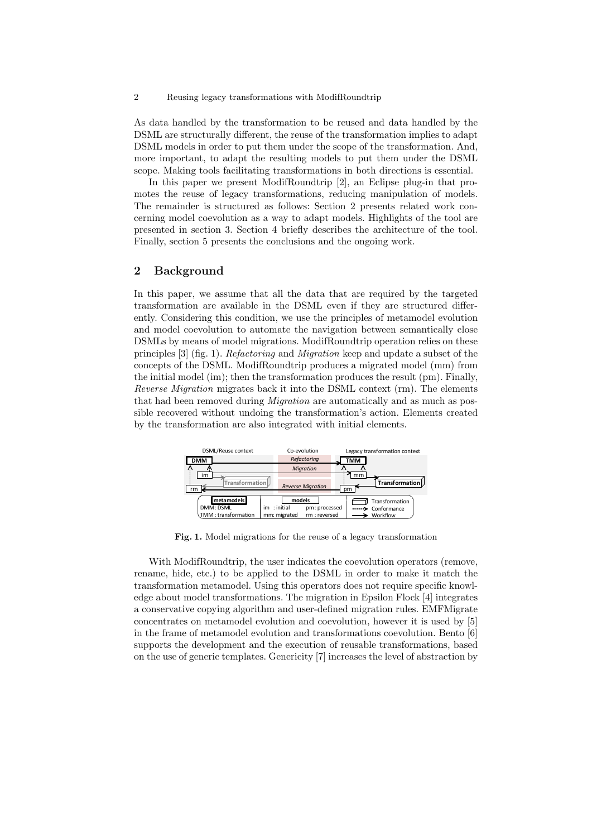2 Reusing legacy transformations with ModifRoundtrip

As data handled by the transformation to be reused and data handled by the DSML are structurally different, the reuse of the transformation implies to adapt DSML models in order to put them under the scope of the transformation. And, more important, to adapt the resulting models to put them under the DSML scope. Making tools facilitating transformations in both directions is essential.

In this paper we present ModifRoundtrip [2], an Eclipse plug-in that promotes the reuse of legacy transformations, reducing manipulation of models. The remainder is structured as follows: Section 2 presents related work concerning model coevolution as a way to adapt models. Highlights of the tool are presented in section 3. Section 4 briefly describes the architecture of the tool. Finally, section 5 presents the conclusions and the ongoing work.

### 2 Background

In this paper, we assume that all the data that are required by the targeted transformation are available in the DSML even if they are structured differently. Considering this condition, we use the principles of metamodel evolution and model coevolution to automate the navigation between semantically close DSMLs by means of model migrations. ModifRoundtrip operation relies on these principles [3] (fig. 1). Refactoring and Migration keep and update a subset of the concepts of the DSML. ModifRoundtrip produces a migrated model (mm) from the initial model (im); then the transformation produces the result (pm). Finally, Reverse Migration migrates back it into the DSML context (rm). The elements that had been removed during *Migration* are automatically and as much as possible recovered without undoing the transformation's action. Elements created by the transformation are also integrated with initial elements.



Fig. 1. Model migrations for the reuse of a legacy transformation

With ModifRoundtrip, the user indicates the coevolution operators (remove, rename, hide, etc.) to be applied to the DSML in order to make it match the transformation metamodel. Using this operators does not require specific knowledge about model transformations. The migration in Epsilon Flock [4] integrates a conservative copying algorithm and user-defined migration rules. EMFMigrate concentrates on metamodel evolution and coevolution, however it is used by [5] in the frame of metamodel evolution and transformations coevolution. Bento [6] supports the development and the execution of reusable transformations, based on the use of generic templates. Genericity [7] increases the level of abstraction by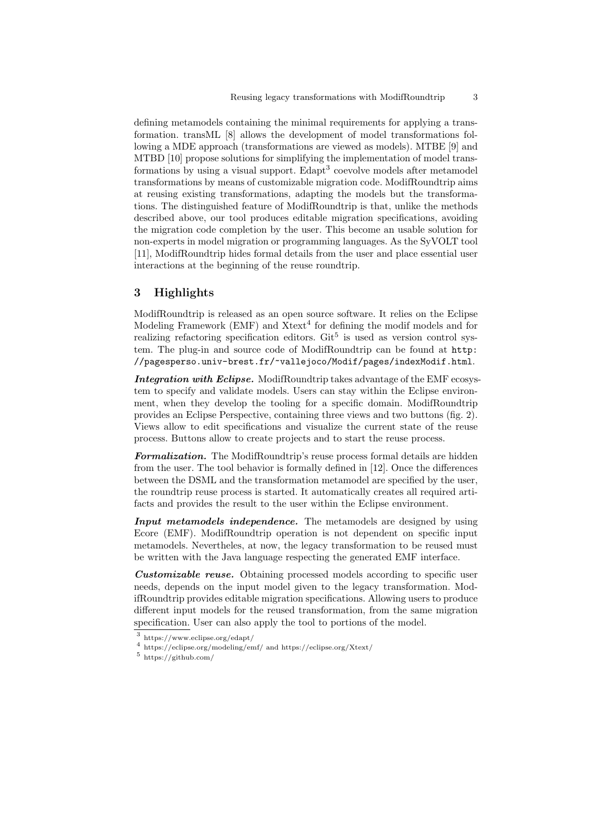defining metamodels containing the minimal requirements for applying a transformation. transML [8] allows the development of model transformations following a MDE approach (transformations are viewed as models). MTBE [9] and MTBD [10] propose solutions for simplifying the implementation of model transformations by using a visual support. Edapt<sup>3</sup> coevolve models after metamodel transformations by means of customizable migration code. ModifRoundtrip aims at reusing existing transformations, adapting the models but the transformations. The distinguished feature of ModifRoundtrip is that, unlike the methods described above, our tool produces editable migration specifications, avoiding the migration code completion by the user. This become an usable solution for non-experts in model migration or programming languages. As the SyVOLT tool [11], ModifRoundtrip hides formal details from the user and place essential user interactions at the beginning of the reuse roundtrip.

### 3 Highlights

ModifRoundtrip is released as an open source software. It relies on the Eclipse Modeling Framework (EMF) and  $X$ text<sup>4</sup> for defining the modif models and for realizing refactoring specification editors.  $\text{Git}^5$  is used as version control system. The plug-in and source code of ModifRoundtrip can be found at http: //pagesperso.univ-brest.fr/~vallejoco/Modif/pages/indexModif.html.

Integration with Eclipse. ModifRoundtrip takes advantage of the EMF ecosystem to specify and validate models. Users can stay within the Eclipse environment, when they develop the tooling for a specific domain. ModifRoundtrip provides an Eclipse Perspective, containing three views and two buttons (fig. 2). Views allow to edit specifications and visualize the current state of the reuse process. Buttons allow to create projects and to start the reuse process.

Formalization. The ModifRoundtrip's reuse process formal details are hidden from the user. The tool behavior is formally defined in [12]. Once the differences between the DSML and the transformation metamodel are specified by the user, the roundtrip reuse process is started. It automatically creates all required artifacts and provides the result to the user within the Eclipse environment.

Input metamodels independence. The metamodels are designed by using Ecore (EMF). ModifRoundtrip operation is not dependent on specific input metamodels. Nevertheles, at now, the legacy transformation to be reused must be written with the Java language respecting the generated EMF interface.

Customizable reuse. Obtaining processed models according to specific user needs, depends on the input model given to the legacy transformation. ModifRoundtrip provides editable migration specifications. Allowing users to produce different input models for the reused transformation, from the same migration specification. User can also apply the tool to portions of the model.

<sup>3</sup> https://www.eclipse.org/edapt/

<sup>4</sup> https://eclipse.org/modeling/emf/ and https://eclipse.org/Xtext/

<sup>5</sup> https://github.com/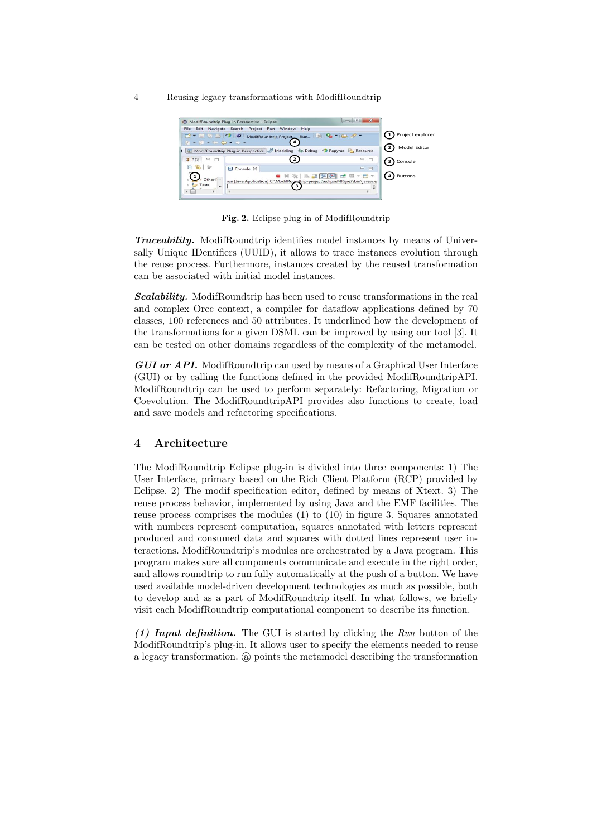#### 4 Reusing legacy transformations with ModifRoundtrip



Fig. 2. Eclipse plug-in of ModifRoundtrip

Traceability. ModifRoundtrip identifies model instances by means of Universally Unique IDentifiers (UUID), it allows to trace instances evolution through the reuse process. Furthermore, instances created by the reused transformation can be associated with initial model instances.

**Scalability.** ModifRoundtrip has been used to reuse transformations in the real and complex Orcc context, a compiler for dataflow applications defined by 70 classes, 100 references and 50 attributes. It underlined how the development of the transformations for a given DSML can be improved by using our tool [3]. It can be tested on other domains regardless of the complexity of the metamodel.

GUI or API. ModifRoundtrip can used by means of a Graphical User Interface (GUI) or by calling the functions defined in the provided ModifRoundtripAPI. ModifRoundtrip can be used to perform separately: Refactoring, Migration or Coevolution. The ModifRoundtripAPI provides also functions to create, load and save models and refactoring specifications.

### 4 Architecture

The ModifRoundtrip Eclipse plug-in is divided into three components: 1) The User Interface, primary based on the Rich Client Platform (RCP) provided by Eclipse. 2) The modif specification editor, defined by means of Xtext. 3) The reuse process behavior, implemented by using Java and the EMF facilities. The reuse process comprises the modules (1) to (10) in figure 3. Squares annotated with numbers represent computation, squares annotated with letters represent produced and consumed data and squares with dotted lines represent user interactions. ModifRoundtrip's modules are orchestrated by a Java program. This program makes sure all components communicate and execute in the right order, and allows roundtrip to run fully automatically at the push of a button. We have used available model-driven development technologies as much as possible, both to develop and as a part of ModifRoundtrip itself. In what follows, we briefly visit each ModifRoundtrip computational component to describe its function.

(1) Input definition. The GUI is started by clicking the  $Run$  button of the ModifRoundtrip's plug-in. It allows user to specify the elements needed to reuse a legacy transformation. (a) points the metamodel describing the transformation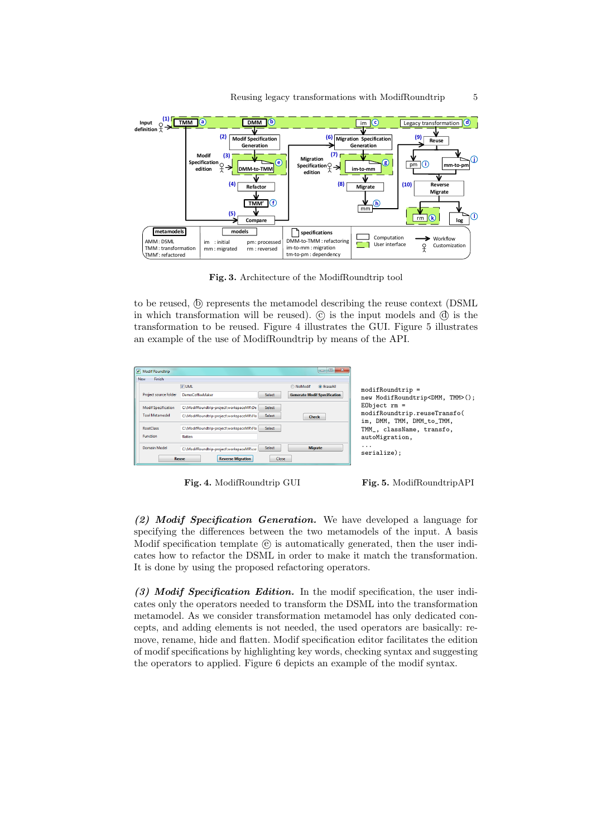

Fig. 3. Architecture of the ModifRoundtrip tool

to be reused,  $(\delta)$  represents the metamodel describing the reuse context (DSML in which transformation will be reused).  $\odot$  is the input models and  $\odot$  is the transformation to be reused. Figure 4 illustrates the GUI. Figure 5 illustrates an example of the use of ModifRoundtrip by means of the API.

| Modif Roundtrip             |                                                            | l o<br>$\blacksquare$               |                                                           |
|-----------------------------|------------------------------------------------------------|-------------------------------------|-----------------------------------------------------------|
| <b>New</b><br><b>Finish</b> |                                                            |                                     |                                                           |
|                             | $\nabla$ UML                                               | <b>O</b> EraseAll<br>MoModif        | $modifRoundtrip =$                                        |
| Project source folder       | <b>DemoCoffeeMaker</b><br><b>Select</b>                    | <b>Generate Modif Specification</b> | new ModifRoundtrip <dmm, tmm="">();</dmm,>                |
| <b>Modif Specification</b>  | C:\ModifRoundtrip-project\workspaceMR\De<br><b>Select</b>  |                                     | $E0bject$ $rm =$                                          |
| <b>Tool Metamodel</b>       | <b>Select</b><br>C:\ModifRoundtrip-project\workspaceMR\Fla | <b>Check</b>                        | modifRoundtrip.reuseTransfo(<br>im, DMM, TMM, DMM_to_TMM, |
| <b>RootClass</b>            | C:\ModifRoundtrip-project\workspaceMR\Fla<br><b>Select</b> |                                     | TMM_, className, transfo,                                 |
| <b>Function</b>             | flatten                                                    |                                     | autoMigration,                                            |
| <b>Domain Model</b>         | <b>Select</b><br>C:\ModifRoundtrip-project\workspaceMR\co  | <b>Migrate</b>                      | .<br>serialize):                                          |
|                             | <b>Reverse Migration</b><br><b>Reuse</b><br><b>Close</b>   |                                     |                                                           |
|                             |                                                            |                                     |                                                           |

Fig. 4. ModifRoundtrip GUI

Fig. 5. ModifRoundtripAPI

(2) Modif Specification Generation. We have developed a language for specifying the differences between the two metamodels of the input. A basis Modif specification template (e) is automatically generated, then the user indicates how to refactor the DSML in order to make it match the transformation. It is done by using the proposed refactoring operators.

(3) Modif Specification Edition. In the modif specification, the user indicates only the operators needed to transform the DSML into the transformation metamodel. As we consider transformation metamodel has only dedicated concepts, and adding elements is not needed, the used operators are basically: remove, rename, hide and flatten. Modif specification editor facilitates the edition of modif specifications by highlighting key words, checking syntax and suggesting the operators to applied. Figure 6 depicts an example of the modif syntax.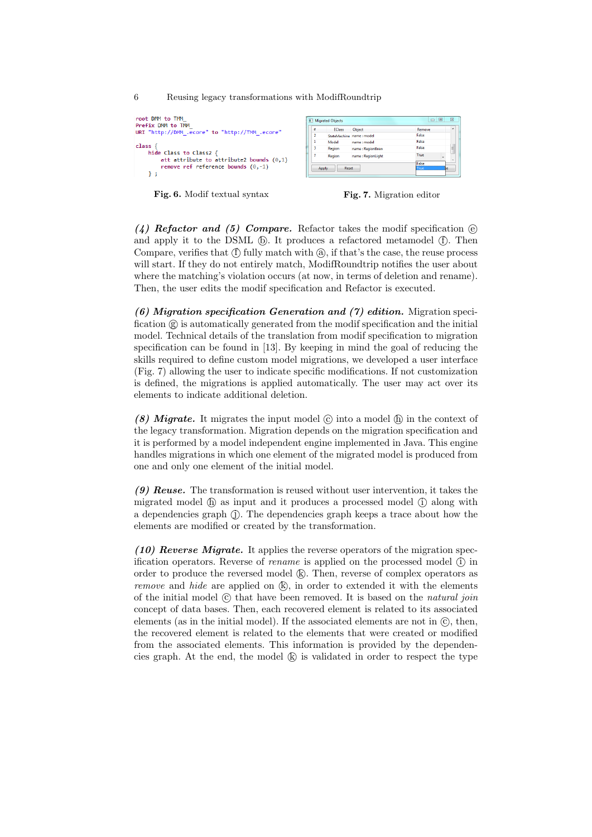6 Reusing legacy transformations with ModifRoundtrip

| root DMM to TMM<br>Prefix DMM to TMM<br>URI "http://DMM .ecore" to "http://TMM .ecore"                                                   |  |
|------------------------------------------------------------------------------------------------------------------------------------------|--|
| class <sub>1</sub><br>hide Class to Class2 {<br>att attribute to attribute2 bounds $(0,1)$<br>remove ref reference bounds $(0,-1)$<br>۰. |  |



|                | <b>E.</b> Migrated Objects |                          | $\Box$<br>$\equiv$ | $\Sigma$  |
|----------------|----------------------------|--------------------------|--------------------|-----------|
| ×              | <b>EClass</b>              | Object                   | Remove             | $\lambda$ |
| $\overline{2}$ |                            | StateMachine name: model | Falce              |           |
| 1              | Model                      | name: model              | Falce              |           |
| R              | Region                     | name: RegionBrew         | False              | J         |
| 7              | Region                     | name: RegionLight        | True               | ×         |
| Reset<br>Apply |                            |                          | False<br>True      |           |
|                |                            |                          | e                  |           |

(4) Refactor and (5) Compare. Refactor takes the modif specification  $\Theta$ and apply it to the DSML (b). It produces a refactored metamodel (f). Then Compare, verifies that  $(f)$  fully match with  $(a)$ , if that's the case, the reuse process will start. If they do not entirely match, ModifRoundtrip notifies the user about where the matching's violation occurs (at now, in terms of deletion and rename). Then, the user edits the modif specification and Refactor is executed.

 $(6)$  Migration specification Generation and  $(7)$  edition. Migration specification  $\circledR$  is automatically generated from the modif specification and the initial model. Technical details of the translation from modif specification to migration specification can be found in [13]. By keeping in mind the goal of reducing the skills required to define custom model migrations, we developed a user interface (Fig. 7) allowing the user to indicate specific modifications. If not customization is defined, the migrations is applied automatically. The user may act over its elements to indicate additional deletion.

(8) Migrate. It migrates the input model  $\odot$  into a model  $\odot$  in the context of the legacy transformation. Migration depends on the migration specification and it is performed by a model independent engine implemented in Java. This engine handles migrations in which one element of the migrated model is produced from one and only one element of the initial model.

(9) Reuse. The transformation is reused without user intervention, it takes the migrated model  $(\hat{\mathbf{h}})$  as input and it produces a processed model  $(\hat{\mathbf{i}})$  along with a dependencies graph (j). The dependencies graph keeps a trace about how the elements are modified or created by the transformation.

 $(10)$  Reverse Migrate. It applies the reverse operators of the migration specification operators. Reverse of *rename* is applied on the processed model  $(i)$  in order to produce the reversed model (k). Then, reverse of complex operators as *remove* and *hide* are applied on  $(\mathbb{R})$ , in order to extended it with the elements of the initial model  $\odot$  that have been removed. It is based on the natural join concept of data bases. Then, each recovered element is related to its associated elements (as in the initial model). If the associated elements are not in  $\mathbb{C}$ , then, the recovered element is related to the elements that were created or modified from the associated elements. This information is provided by the dependencies graph. At the end, the model  $(k)$  is validated in order to respect the type